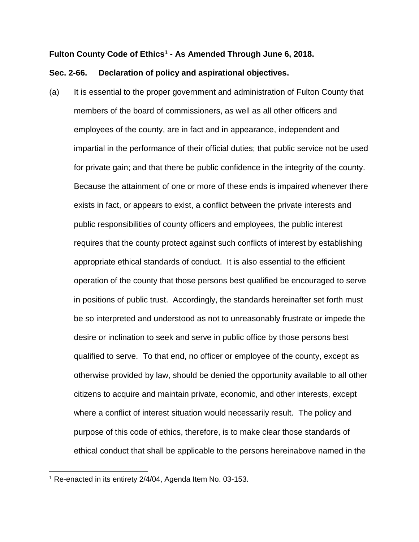## **Fulton County Code of Ethics<sup>1</sup> - As Amended Through June 6, 2018.**

## **Sec. 2-66. Declaration of policy and aspirational objectives.**

(a) It is essential to the proper government and administration of Fulton County that members of the board of commissioners, as well as all other officers and employees of the county, are in fact and in appearance, independent and impartial in the performance of their official duties; that public service not be used for private gain; and that there be public confidence in the integrity of the county. Because the attainment of one or more of these ends is impaired whenever there exists in fact, or appears to exist, a conflict between the private interests and public responsibilities of county officers and employees, the public interest requires that the county protect against such conflicts of interest by establishing appropriate ethical standards of conduct. It is also essential to the efficient operation of the county that those persons best qualified be encouraged to serve in positions of public trust. Accordingly, the standards hereinafter set forth must be so interpreted and understood as not to unreasonably frustrate or impede the desire or inclination to seek and serve in public office by those persons best qualified to serve. To that end, no officer or employee of the county, except as otherwise provided by law, should be denied the opportunity available to all other citizens to acquire and maintain private, economic, and other interests, except where a conflict of interest situation would necessarily result. The policy and purpose of this code of ethics, therefore, is to make clear those standards of ethical conduct that shall be applicable to the persons hereinabove named in the

 $\overline{a}$ 

 $1$  Re-enacted in its entirety 2/4/04, Agenda Item No. 03-153.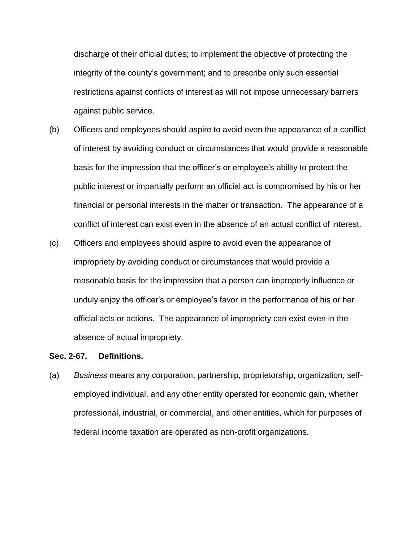discharge of their official duties; to implement the objective of protecting the integrity of the county's government; and to prescribe only such essential restrictions against conflicts of interest as will not impose unnecessary barriers against public service.

- (b) Officers and employees should aspire to avoid even the appearance of a conflict of interest by avoiding conduct or circumstances that would provide a reasonable basis for the impression that the officer's or employee's ability to protect the public interest or impartially perform an official act is compromised by his or her financial or personal interests in the matter or transaction. The appearance of a conflict of interest can exist even in the absence of an actual conflict of interest.
- (c) Officers and employees should aspire to avoid even the appearance of impropriety by avoiding conduct or circumstances that would provide a reasonable basis for the impression that a person can improperly influence or unduly enjoy the officer's or employee's favor in the performance of his or her official acts or actions. The appearance of impropriety can exist even in the absence of actual impropriety.

#### **Sec. 2-67. Definitions.**

(a) *Business* means any corporation, partnership, proprietorship, organization, selfemployed individual, and any other entity operated for economic gain, whether professional, industrial, or commercial, and other entities, which for purposes of federal income taxation are operated as non-profit organizations.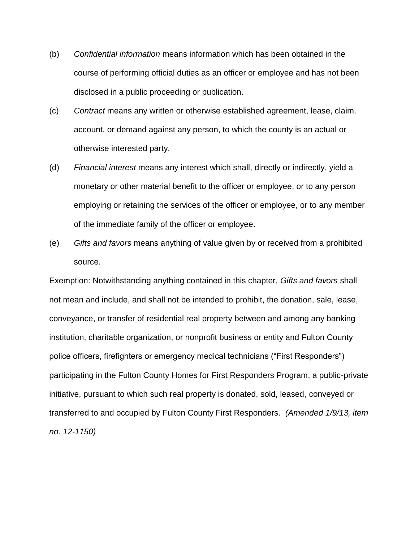- (b) *Confidential information* means information which has been obtained in the course of performing official duties as an officer or employee and has not been disclosed in a public proceeding or publication.
- (c) *Contract* means any written or otherwise established agreement, lease, claim, account, or demand against any person, to which the county is an actual or otherwise interested party.
- (d) *Financial interest* means any interest which shall, directly or indirectly, yield a monetary or other material benefit to the officer or employee, or to any person employing or retaining the services of the officer or employee, or to any member of the immediate family of the officer or employee.
- (e) *Gifts and favors* means anything of value given by or received from a prohibited source.

Exemption: Notwithstanding anything contained in this chapter, *Gifts and favors* shall not mean and include, and shall not be intended to prohibit, the donation, sale, lease, conveyance, or transfer of residential real property between and among any banking institution, charitable organization, or nonprofit business or entity and Fulton County police officers, firefighters or emergency medical technicians ("First Responders") participating in the Fulton County Homes for First Responders Program, a public-private initiative, pursuant to which such real property is donated, sold, leased, conveyed or transferred to and occupied by Fulton County First Responders. *(Amended 1/9/13, item no. 12-1150)*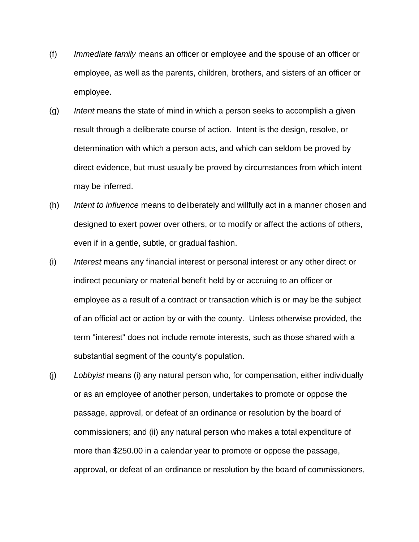- (f) *Immediate family* means an officer or employee and the spouse of an officer or employee, as well as the parents, children, brothers, and sisters of an officer or employee.
- (g) *Intent* means the state of mind in which a person seeks to accomplish a given result through a deliberate course of action. Intent is the design, resolve, or determination with which a person acts, and which can seldom be proved by direct evidence, but must usually be proved by circumstances from which intent may be inferred.
- (h) *Intent to influence* means to deliberately and willfully act in a manner chosen and designed to exert power over others, or to modify or affect the actions of others, even if in a gentle, subtle, or gradual fashion.
- (i) *Interest* means any financial interest or personal interest or any other direct or indirect pecuniary or material benefit held by or accruing to an officer or employee as a result of a contract or transaction which is or may be the subject of an official act or action by or with the county. Unless otherwise provided, the term "interest" does not include remote interests, such as those shared with a substantial segment of the county's population.
- (j) *Lobbyist* means (i) any natural person who, for compensation, either individually or as an employee of another person, undertakes to promote or oppose the passage, approval, or defeat of an ordinance or resolution by the board of commissioners; and (ii) any natural person who makes a total expenditure of more than \$250.00 in a calendar year to promote or oppose the passage, approval, or defeat of an ordinance or resolution by the board of commissioners,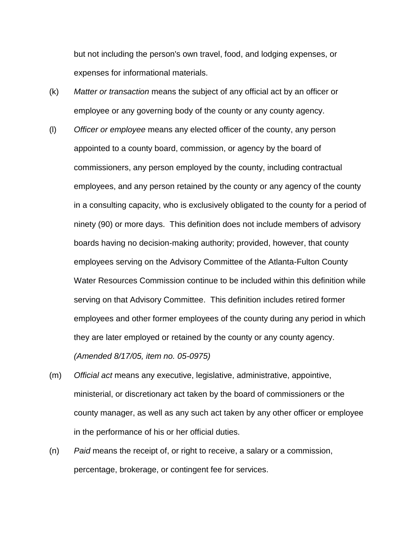but not including the person's own travel, food, and lodging expenses, or expenses for informational materials.

- (k) *Matter or transaction* means the subject of any official act by an officer or employee or any governing body of the county or any county agency.
- (l) *Officer or employee* means any elected officer of the county, any person appointed to a county board, commission, or agency by the board of commissioners, any person employed by the county, including contractual employees, and any person retained by the county or any agency of the county in a consulting capacity, who is exclusively obligated to the county for a period of ninety (90) or more days. This definition does not include members of advisory boards having no decision-making authority; provided, however, that county employees serving on the Advisory Committee of the Atlanta-Fulton County Water Resources Commission continue to be included within this definition while serving on that Advisory Committee. This definition includes retired former employees and other former employees of the county during any period in which they are later employed or retained by the county or any county agency. *(Amended 8/17/05, item no. 05-0975)*
- (m) *Official act* means any executive, legislative, administrative, appointive, ministerial, or discretionary act taken by the board of commissioners or the county manager, as well as any such act taken by any other officer or employee in the performance of his or her official duties.
- (n) *Paid* means the receipt of, or right to receive, a salary or a commission, percentage, brokerage, or contingent fee for services.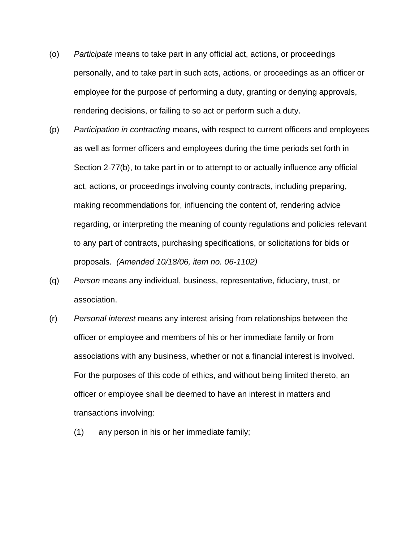- (o) *Participate* means to take part in any official act, actions, or proceedings personally, and to take part in such acts, actions, or proceedings as an officer or employee for the purpose of performing a duty, granting or denying approvals, rendering decisions, or failing to so act or perform such a duty.
- (p) *Participation in contracting* means, with respect to current officers and employees as well as former officers and employees during the time periods set forth in Section 2-77(b), to take part in or to attempt to or actually influence any official act, actions, or proceedings involving county contracts, including preparing, making recommendations for, influencing the content of, rendering advice regarding, or interpreting the meaning of county regulations and policies relevant to any part of contracts, purchasing specifications, or solicitations for bids or proposals. *(Amended 10/18/06, item no. 06-1102)*
- (q) *Person* means any individual, business, representative, fiduciary, trust, or association.
- (r) *Personal interest* means any interest arising from relationships between the officer or employee and members of his or her immediate family or from associations with any business, whether or not a financial interest is involved. For the purposes of this code of ethics, and without being limited thereto, an officer or employee shall be deemed to have an interest in matters and transactions involving:
	- (1) any person in his or her immediate family;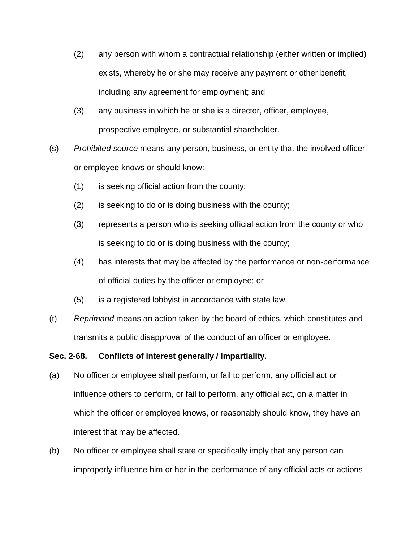- (2) any person with whom a contractual relationship (either written or implied) exists, whereby he or she may receive any payment or other benefit, including any agreement for employment; and
- (3) any business in which he or she is a director, officer, employee, prospective employee, or substantial shareholder.
- (s) *Prohibited source* means any person, business, or entity that the involved officer or employee knows or should know:
	- (1) is seeking official action from the county;
	- (2) is seeking to do or is doing business with the county;
	- (3) represents a person who is seeking official action from the county or who is seeking to do or is doing business with the county;
	- (4) has interests that may be affected by the performance or non-performance of official duties by the officer or employee; or
	- (5) is a registered lobbyist in accordance with state law.
- (t) *Reprimand* means an action taken by the board of ethics, which constitutes and transmits a public disapproval of the conduct of an officer or employee.

# **Sec. 2-68. Conflicts of interest generally / Impartiality.**

- (a) No officer or employee shall perform, or fail to perform, any official act or influence others to perform, or fail to perform, any official act, on a matter in which the officer or employee knows, or reasonably should know, they have an interest that may be affected.
- (b) No officer or employee shall state or specifically imply that any person can improperly influence him or her in the performance of any official acts or actions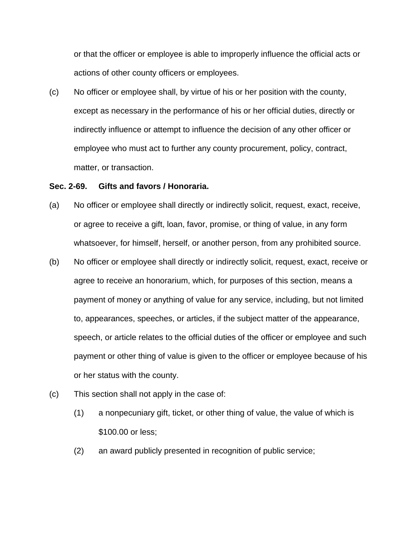or that the officer or employee is able to improperly influence the official acts or actions of other county officers or employees.

(c) No officer or employee shall, by virtue of his or her position with the county, except as necessary in the performance of his or her official duties, directly or indirectly influence or attempt to influence the decision of any other officer or employee who must act to further any county procurement, policy, contract, matter, or transaction.

#### **Sec. 2-69. Gifts and favors / Honoraria.**

- (a) No officer or employee shall directly or indirectly solicit, request, exact, receive, or agree to receive a gift, loan, favor, promise, or thing of value, in any form whatsoever, for himself, herself, or another person, from any prohibited source.
- (b) No officer or employee shall directly or indirectly solicit, request, exact, receive or agree to receive an honorarium, which, for purposes of this section, means a payment of money or anything of value for any service, including, but not limited to, appearances, speeches, or articles, if the subject matter of the appearance, speech, or article relates to the official duties of the officer or employee and such payment or other thing of value is given to the officer or employee because of his or her status with the county.
- (c) This section shall not apply in the case of:
	- (1) a nonpecuniary gift, ticket, or other thing of value, the value of which is \$100.00 or less;
	- (2) an award publicly presented in recognition of public service;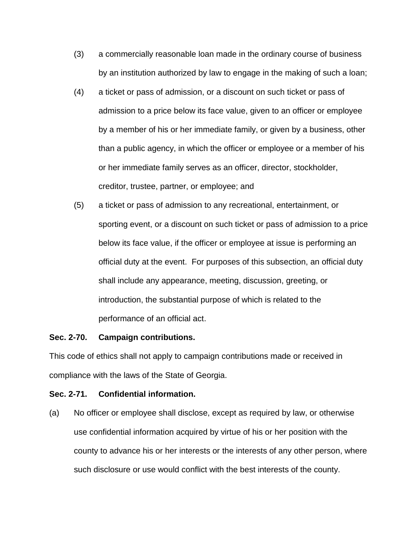- (3) a commercially reasonable loan made in the ordinary course of business by an institution authorized by law to engage in the making of such a loan;
- (4) a ticket or pass of admission, or a discount on such ticket or pass of admission to a price below its face value, given to an officer or employee by a member of his or her immediate family, or given by a business, other than a public agency, in which the officer or employee or a member of his or her immediate family serves as an officer, director, stockholder, creditor, trustee, partner, or employee; and
- (5) a ticket or pass of admission to any recreational, entertainment, or sporting event, or a discount on such ticket or pass of admission to a price below its face value, if the officer or employee at issue is performing an official duty at the event. For purposes of this subsection, an official duty shall include any appearance, meeting, discussion, greeting, or introduction, the substantial purpose of which is related to the performance of an official act.

# **Sec. 2-70. Campaign contributions.**

This code of ethics shall not apply to campaign contributions made or received in compliance with the laws of the State of Georgia.

# **Sec. 2-71. Confidential information.**

(a) No officer or employee shall disclose, except as required by law, or otherwise use confidential information acquired by virtue of his or her position with the county to advance his or her interests or the interests of any other person, where such disclosure or use would conflict with the best interests of the county.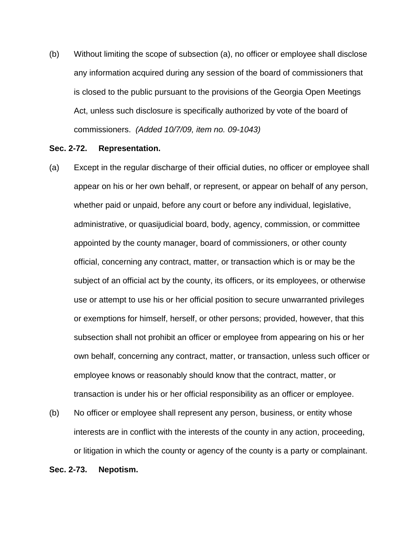(b) Without limiting the scope of subsection (a), no officer or employee shall disclose any information acquired during any session of the board of commissioners that is closed to the public pursuant to the provisions of the Georgia Open Meetings Act, unless such disclosure is specifically authorized by vote of the board of commissioners. *(Added 10/7/09, item no. 09-1043)*

## **Sec. 2-72. Representation.**

- (a) Except in the regular discharge of their official duties, no officer or employee shall appear on his or her own behalf, or represent, or appear on behalf of any person, whether paid or unpaid, before any court or before any individual, legislative, administrative, or quasijudicial board, body, agency, commission, or committee appointed by the county manager, board of commissioners, or other county official, concerning any contract, matter, or transaction which is or may be the subject of an official act by the county, its officers, or its employees, or otherwise use or attempt to use his or her official position to secure unwarranted privileges or exemptions for himself, herself, or other persons; provided, however, that this subsection shall not prohibit an officer or employee from appearing on his or her own behalf, concerning any contract, matter, or transaction, unless such officer or employee knows or reasonably should know that the contract, matter, or transaction is under his or her official responsibility as an officer or employee.
- (b) No officer or employee shall represent any person, business, or entity whose interests are in conflict with the interests of the county in any action, proceeding, or litigation in which the county or agency of the county is a party or complainant.

#### **Sec. 2-73. Nepotism.**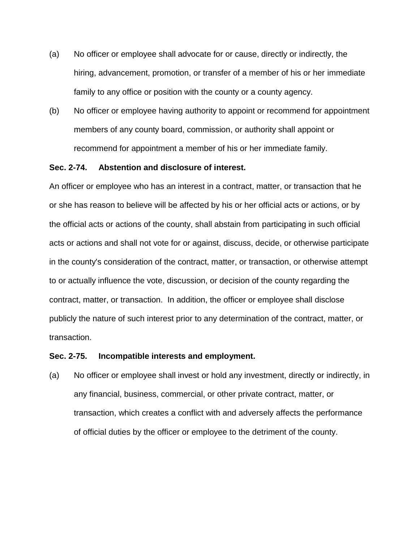- (a) No officer or employee shall advocate for or cause, directly or indirectly, the hiring, advancement, promotion, or transfer of a member of his or her immediate family to any office or position with the county or a county agency.
- (b) No officer or employee having authority to appoint or recommend for appointment members of any county board, commission, or authority shall appoint or recommend for appointment a member of his or her immediate family.

### **Sec. 2-74. Abstention and disclosure of interest.**

An officer or employee who has an interest in a contract, matter, or transaction that he or she has reason to believe will be affected by his or her official acts or actions, or by the official acts or actions of the county, shall abstain from participating in such official acts or actions and shall not vote for or against, discuss, decide, or otherwise participate in the county's consideration of the contract, matter, or transaction, or otherwise attempt to or actually influence the vote, discussion, or decision of the county regarding the contract, matter, or transaction. In addition, the officer or employee shall disclose publicly the nature of such interest prior to any determination of the contract, matter, or transaction.

## **Sec. 2-75. Incompatible interests and employment.**

(a) No officer or employee shall invest or hold any investment, directly or indirectly, in any financial, business, commercial, or other private contract, matter, or transaction, which creates a conflict with and adversely affects the performance of official duties by the officer or employee to the detriment of the county.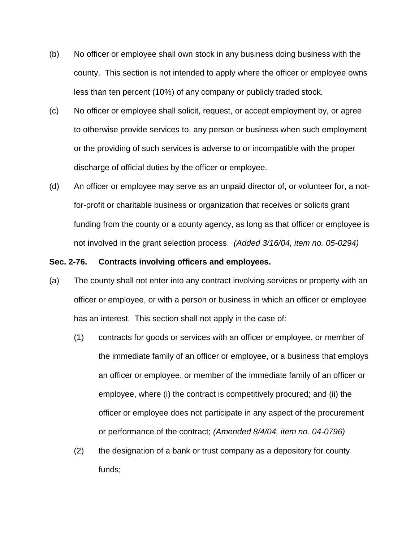- (b) No officer or employee shall own stock in any business doing business with the county. This section is not intended to apply where the officer or employee owns less than ten percent (10%) of any company or publicly traded stock.
- (c) No officer or employee shall solicit, request, or accept employment by, or agree to otherwise provide services to, any person or business when such employment or the providing of such services is adverse to or incompatible with the proper discharge of official duties by the officer or employee.
- (d) An officer or employee may serve as an unpaid director of, or volunteer for, a notfor-profit or charitable business or organization that receives or solicits grant funding from the county or a county agency, as long as that officer or employee is not involved in the grant selection process. *(Added 3/16/04, item no. 05-0294)*

#### **Sec. 2-76. Contracts involving officers and employees.**

- (a) The county shall not enter into any contract involving services or property with an officer or employee, or with a person or business in which an officer or employee has an interest. This section shall not apply in the case of:
	- (1) contracts for goods or services with an officer or employee, or member of the immediate family of an officer or employee, or a business that employs an officer or employee, or member of the immediate family of an officer or employee, where (i) the contract is competitively procured; and (ii) the officer or employee does not participate in any aspect of the procurement or performance of the contract; *(Amended 8/4/04, item no. 04-0796)*
	- (2) the designation of a bank or trust company as a depository for county funds;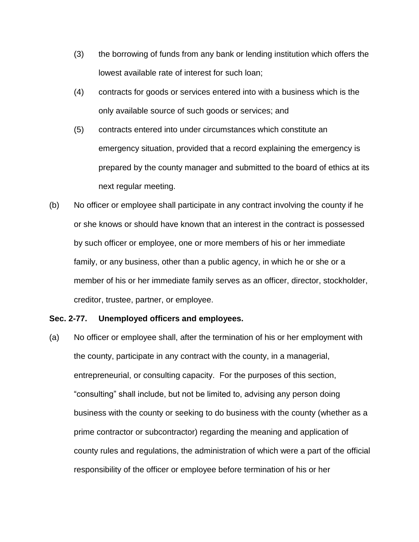- (3) the borrowing of funds from any bank or lending institution which offers the lowest available rate of interest for such loan;
- (4) contracts for goods or services entered into with a business which is the only available source of such goods or services; and
- (5) contracts entered into under circumstances which constitute an emergency situation, provided that a record explaining the emergency is prepared by the county manager and submitted to the board of ethics at its next regular meeting.
- (b) No officer or employee shall participate in any contract involving the county if he or she knows or should have known that an interest in the contract is possessed by such officer or employee, one or more members of his or her immediate family, or any business, other than a public agency, in which he or she or a member of his or her immediate family serves as an officer, director, stockholder, creditor, trustee, partner, or employee.

#### **Sec. 2-77. Unemployed officers and employees.**

(a) No officer or employee shall, after the termination of his or her employment with the county, participate in any contract with the county, in a managerial, entrepreneurial, or consulting capacity. For the purposes of this section, "consulting" shall include, but not be limited to, advising any person doing business with the county or seeking to do business with the county (whether as a prime contractor or subcontractor) regarding the meaning and application of county rules and regulations, the administration of which were a part of the official responsibility of the officer or employee before termination of his or her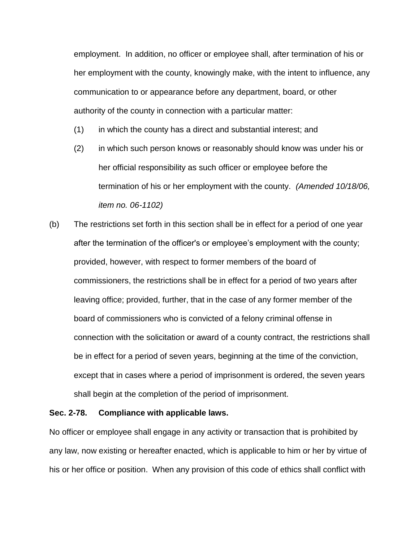employment. In addition, no officer or employee shall, after termination of his or her employment with the county, knowingly make, with the intent to influence, any communication to or appearance before any department, board, or other authority of the county in connection with a particular matter:

- (1) in which the county has a direct and substantial interest; and
- (2) in which such person knows or reasonably should know was under his or her official responsibility as such officer or employee before the termination of his or her employment with the county. *(Amended 10/18/06, item no. 06-1102)*
- (b) The restrictions set forth in this section shall be in effect for a period of one year after the termination of the officer's or employee's employment with the county; provided, however, with respect to former members of the board of commissioners, the restrictions shall be in effect for a period of two years after leaving office; provided, further, that in the case of any former member of the board of commissioners who is convicted of a felony criminal offense in connection with the solicitation or award of a county contract, the restrictions shall be in effect for a period of seven years, beginning at the time of the conviction, except that in cases where a period of imprisonment is ordered, the seven years shall begin at the completion of the period of imprisonment.

# **Sec. 2-78. Compliance with applicable laws.**

No officer or employee shall engage in any activity or transaction that is prohibited by any law, now existing or hereafter enacted, which is applicable to him or her by virtue of his or her office or position. When any provision of this code of ethics shall conflict with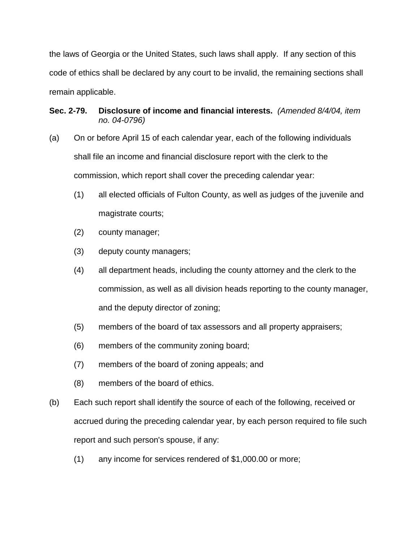the laws of Georgia or the United States, such laws shall apply. If any section of this code of ethics shall be declared by any court to be invalid, the remaining sections shall remain applicable.

# **Sec. 2-79. Disclosure of income and financial interests.** *(Amended 8/4/04, item no. 04-0796)*

- (a) On or before April 15 of each calendar year, each of the following individuals shall file an income and financial disclosure report with the clerk to the commission, which report shall cover the preceding calendar year:
	- (1) all elected officials of Fulton County, as well as judges of the juvenile and magistrate courts;
	- (2) county manager;
	- (3) deputy county managers;
	- (4) all department heads, including the county attorney and the clerk to the commission, as well as all division heads reporting to the county manager, and the deputy director of zoning;
	- (5) members of the board of tax assessors and all property appraisers;
	- (6) members of the community zoning board;
	- (7) members of the board of zoning appeals; and
	- (8) members of the board of ethics.
- (b) Each such report shall identify the source of each of the following, received or accrued during the preceding calendar year, by each person required to file such report and such person's spouse, if any:
	- (1) any income for services rendered of \$1,000.00 or more;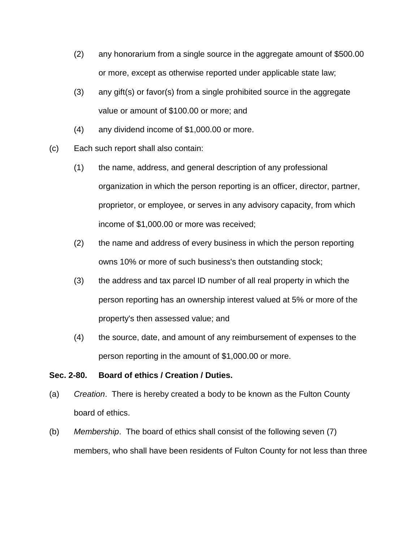- (2) any honorarium from a single source in the aggregate amount of \$500.00 or more, except as otherwise reported under applicable state law;
- (3) any gift(s) or favor(s) from a single prohibited source in the aggregate value or amount of \$100.00 or more; and
- (4) any dividend income of \$1,000.00 or more.
- (c) Each such report shall also contain:
	- (1) the name, address, and general description of any professional organization in which the person reporting is an officer, director, partner, proprietor, or employee, or serves in any advisory capacity, from which income of \$1,000.00 or more was received;
	- (2) the name and address of every business in which the person reporting owns 10% or more of such business's then outstanding stock;
	- (3) the address and tax parcel ID number of all real property in which the person reporting has an ownership interest valued at 5% or more of the property's then assessed value; and
	- (4) the source, date, and amount of any reimbursement of expenses to the person reporting in the amount of \$1,000.00 or more.

# **Sec. 2-80. Board of ethics / Creation / Duties.**

- (a) *Creation*. There is hereby created a body to be known as the Fulton County board of ethics.
- (b) *Membership*. The board of ethics shall consist of the following seven (7) members, who shall have been residents of Fulton County for not less than three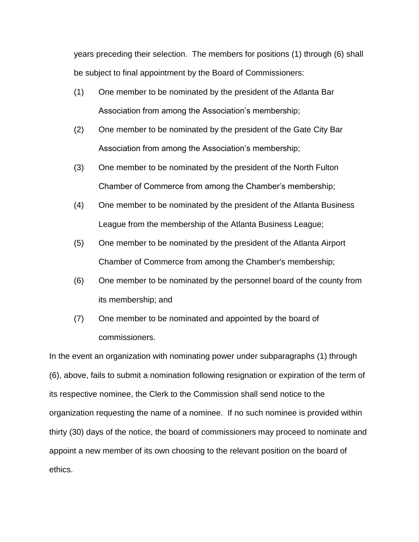years preceding their selection. The members for positions (1) through (6) shall be subject to final appointment by the Board of Commissioners:

- (1) One member to be nominated by the president of the Atlanta Bar Association from among the Association's membership;
- (2) One member to be nominated by the president of the Gate City Bar Association from among the Association's membership;
- (3) One member to be nominated by the president of the North Fulton Chamber of Commerce from among the Chamber's membership;
- (4) One member to be nominated by the president of the Atlanta Business League from the membership of the Atlanta Business League;
- (5) One member to be nominated by the president of the Atlanta Airport Chamber of Commerce from among the Chamber's membership;
- (6) One member to be nominated by the personnel board of the county from its membership; and
- (7) One member to be nominated and appointed by the board of commissioners.

In the event an organization with nominating power under subparagraphs (1) through (6), above, fails to submit a nomination following resignation or expiration of the term of its respective nominee, the Clerk to the Commission shall send notice to the organization requesting the name of a nominee. If no such nominee is provided within thirty (30) days of the notice, the board of commissioners may proceed to nominate and appoint a new member of its own choosing to the relevant position on the board of ethics.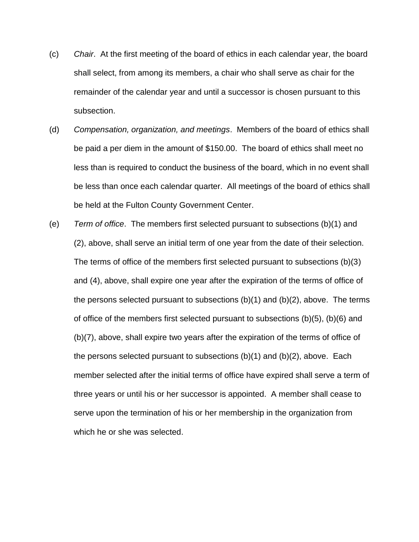- (c) *Chair*. At the first meeting of the board of ethics in each calendar year, the board shall select, from among its members, a chair who shall serve as chair for the remainder of the calendar year and until a successor is chosen pursuant to this subsection.
- (d) *Compensation, organization, and meetings*. Members of the board of ethics shall be paid a per diem in the amount of \$150.00. The board of ethics shall meet no less than is required to conduct the business of the board, which in no event shall be less than once each calendar quarter. All meetings of the board of ethics shall be held at the Fulton County Government Center.
- (e) *Term of office*. The members first selected pursuant to subsections (b)(1) and (2), above, shall serve an initial term of one year from the date of their selection. The terms of office of the members first selected pursuant to subsections (b)(3) and (4), above, shall expire one year after the expiration of the terms of office of the persons selected pursuant to subsections (b)(1) and (b)(2), above. The terms of office of the members first selected pursuant to subsections (b)(5), (b)(6) and (b)(7), above, shall expire two years after the expiration of the terms of office of the persons selected pursuant to subsections (b)(1) and (b)(2), above. Each member selected after the initial terms of office have expired shall serve a term of three years or until his or her successor is appointed. A member shall cease to serve upon the termination of his or her membership in the organization from which he or she was selected.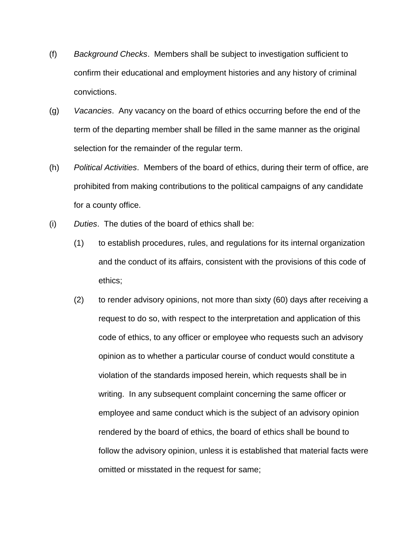- (f) *Background Checks*. Members shall be subject to investigation sufficient to confirm their educational and employment histories and any history of criminal convictions.
- (g) *Vacancies*. Any vacancy on the board of ethics occurring before the end of the term of the departing member shall be filled in the same manner as the original selection for the remainder of the regular term.
- (h) *Political Activities*. Members of the board of ethics, during their term of office, are prohibited from making contributions to the political campaigns of any candidate for a county office.
- (i) *Duties*. The duties of the board of ethics shall be:
	- (1) to establish procedures, rules, and regulations for its internal organization and the conduct of its affairs, consistent with the provisions of this code of ethics;
	- (2) to render advisory opinions, not more than sixty (60) days after receiving a request to do so, with respect to the interpretation and application of this code of ethics, to any officer or employee who requests such an advisory opinion as to whether a particular course of conduct would constitute a violation of the standards imposed herein, which requests shall be in writing. In any subsequent complaint concerning the same officer or employee and same conduct which is the subject of an advisory opinion rendered by the board of ethics, the board of ethics shall be bound to follow the advisory opinion, unless it is established that material facts were omitted or misstated in the request for same;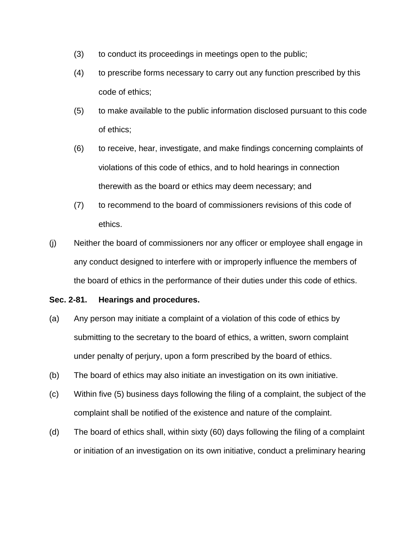- (3) to conduct its proceedings in meetings open to the public;
- (4) to prescribe forms necessary to carry out any function prescribed by this code of ethics;
- (5) to make available to the public information disclosed pursuant to this code of ethics;
- (6) to receive, hear, investigate, and make findings concerning complaints of violations of this code of ethics, and to hold hearings in connection therewith as the board or ethics may deem necessary; and
- (7) to recommend to the board of commissioners revisions of this code of ethics.
- (j) Neither the board of commissioners nor any officer or employee shall engage in any conduct designed to interfere with or improperly influence the members of the board of ethics in the performance of their duties under this code of ethics.

# **Sec. 2-81. Hearings and procedures.**

- (a) Any person may initiate a complaint of a violation of this code of ethics by submitting to the secretary to the board of ethics, a written, sworn complaint under penalty of perjury, upon a form prescribed by the board of ethics.
- (b) The board of ethics may also initiate an investigation on its own initiative.
- (c) Within five (5) business days following the filing of a complaint, the subject of the complaint shall be notified of the existence and nature of the complaint.
- (d) The board of ethics shall, within sixty (60) days following the filing of a complaint or initiation of an investigation on its own initiative, conduct a preliminary hearing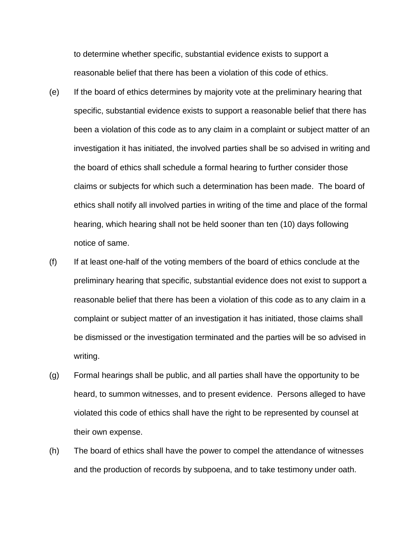to determine whether specific, substantial evidence exists to support a reasonable belief that there has been a violation of this code of ethics.

- (e) If the board of ethics determines by majority vote at the preliminary hearing that specific, substantial evidence exists to support a reasonable belief that there has been a violation of this code as to any claim in a complaint or subject matter of an investigation it has initiated, the involved parties shall be so advised in writing and the board of ethics shall schedule a formal hearing to further consider those claims or subjects for which such a determination has been made. The board of ethics shall notify all involved parties in writing of the time and place of the formal hearing, which hearing shall not be held sooner than ten (10) days following notice of same.
- (f) If at least one-half of the voting members of the board of ethics conclude at the preliminary hearing that specific, substantial evidence does not exist to support a reasonable belief that there has been a violation of this code as to any claim in a complaint or subject matter of an investigation it has initiated, those claims shall be dismissed or the investigation terminated and the parties will be so advised in writing.
- (g) Formal hearings shall be public, and all parties shall have the opportunity to be heard, to summon witnesses, and to present evidence. Persons alleged to have violated this code of ethics shall have the right to be represented by counsel at their own expense.
- (h) The board of ethics shall have the power to compel the attendance of witnesses and the production of records by subpoena, and to take testimony under oath.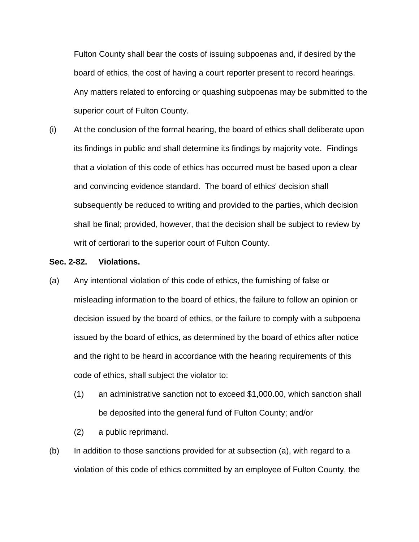Fulton County shall bear the costs of issuing subpoenas and, if desired by the board of ethics, the cost of having a court reporter present to record hearings. Any matters related to enforcing or quashing subpoenas may be submitted to the superior court of Fulton County.

(i) At the conclusion of the formal hearing, the board of ethics shall deliberate upon its findings in public and shall determine its findings by majority vote. Findings that a violation of this code of ethics has occurred must be based upon a clear and convincing evidence standard. The board of ethics' decision shall subsequently be reduced to writing and provided to the parties, which decision shall be final; provided, however, that the decision shall be subject to review by writ of certiorari to the superior court of Fulton County.

## **Sec. 2-82. Violations.**

- (a) Any intentional violation of this code of ethics, the furnishing of false or misleading information to the board of ethics, the failure to follow an opinion or decision issued by the board of ethics, or the failure to comply with a subpoena issued by the board of ethics, as determined by the board of ethics after notice and the right to be heard in accordance with the hearing requirements of this code of ethics, shall subject the violator to:
	- (1) an administrative sanction not to exceed \$1,000.00, which sanction shall be deposited into the general fund of Fulton County; and/or
	- (2) a public reprimand.
- (b) In addition to those sanctions provided for at subsection (a), with regard to a violation of this code of ethics committed by an employee of Fulton County, the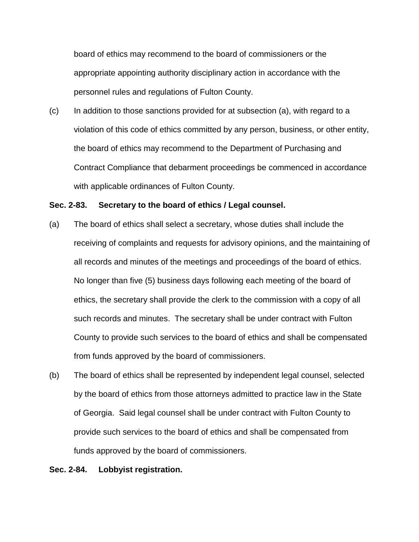board of ethics may recommend to the board of commissioners or the appropriate appointing authority disciplinary action in accordance with the personnel rules and regulations of Fulton County.

(c) In addition to those sanctions provided for at subsection (a), with regard to a violation of this code of ethics committed by any person, business, or other entity, the board of ethics may recommend to the Department of Purchasing and Contract Compliance that debarment proceedings be commenced in accordance with applicable ordinances of Fulton County.

## **Sec. 2-83. Secretary to the board of ethics / Legal counsel.**

- (a) The board of ethics shall select a secretary, whose duties shall include the receiving of complaints and requests for advisory opinions, and the maintaining of all records and minutes of the meetings and proceedings of the board of ethics. No longer than five (5) business days following each meeting of the board of ethics, the secretary shall provide the clerk to the commission with a copy of all such records and minutes. The secretary shall be under contract with Fulton County to provide such services to the board of ethics and shall be compensated from funds approved by the board of commissioners.
- (b) The board of ethics shall be represented by independent legal counsel, selected by the board of ethics from those attorneys admitted to practice law in the State of Georgia. Said legal counsel shall be under contract with Fulton County to provide such services to the board of ethics and shall be compensated from funds approved by the board of commissioners.

### **Sec. 2-84. Lobbyist registration.**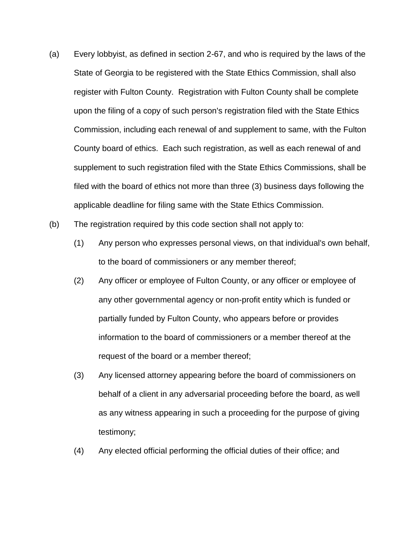- (a) Every lobbyist, as defined in section 2-67, and who is required by the laws of the State of Georgia to be registered with the State Ethics Commission, shall also register with Fulton County. Registration with Fulton County shall be complete upon the filing of a copy of such person's registration filed with the State Ethics Commission, including each renewal of and supplement to same, with the Fulton County board of ethics. Each such registration, as well as each renewal of and supplement to such registration filed with the State Ethics Commissions, shall be filed with the board of ethics not more than three (3) business days following the applicable deadline for filing same with the State Ethics Commission.
- (b) The registration required by this code section shall not apply to:
	- (1) Any person who expresses personal views, on that individual's own behalf, to the board of commissioners or any member thereof;
	- (2) Any officer or employee of Fulton County, or any officer or employee of any other governmental agency or non-profit entity which is funded or partially funded by Fulton County, who appears before or provides information to the board of commissioners or a member thereof at the request of the board or a member thereof;
	- (3) Any licensed attorney appearing before the board of commissioners on behalf of a client in any adversarial proceeding before the board, as well as any witness appearing in such a proceeding for the purpose of giving testimony;
	- (4) Any elected official performing the official duties of their office; and